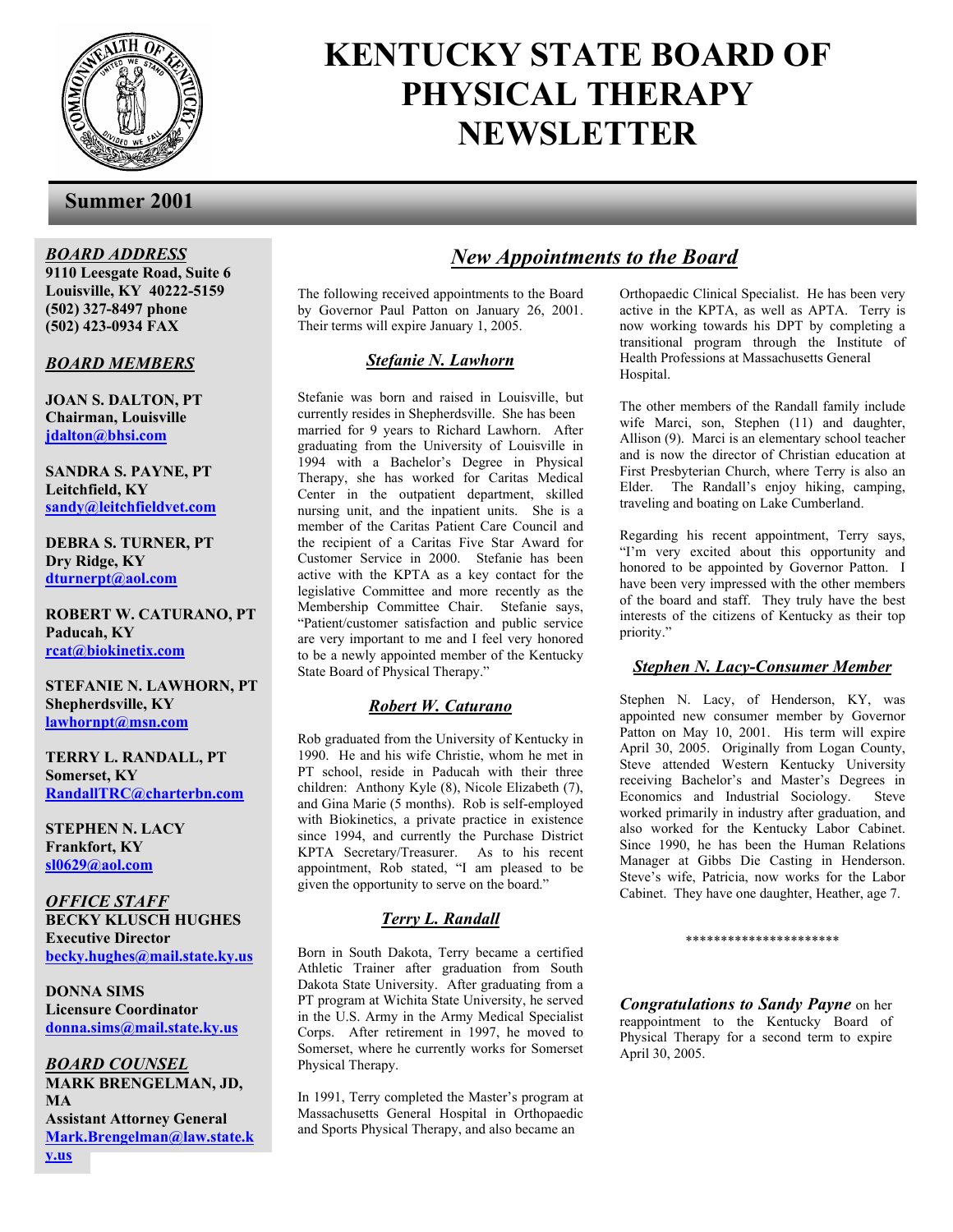

# **KENTUCKY STATE BOARD OF PHYSICAL THERAPY NEWSLETTER**

### **Summer 2001**

*BOARD ADDRESS* **9110 Leesgate Road, Suite 6** 

**Louisville, KY 40222-5159 (502) 327-8497 phone (502) 423-0934 FAX** 

#### *BOARD MEMBERS*

**JOAN S. DALTON, PT Chairman, Louisville jdalton@bhsi.com**

**SANDRA S. PAYNE, PT Leitchfield, KY sandy@leitchfieldvet.com**

**DEBRA S. TURNER, PT Dry Ridge, KY dturnerpt@aol.com**

**ROBERT W. CATURANO, PT Paducah, KY rcat@biokinetix.com**

**STEFANIE N. LAWHORN, PT Shepherdsville, KY lawhornpt@msn.com**

**TERRY L. RANDALL, PT Somerset, KY RandallTRC@charterbn.com**

**STEPHEN N. LACY Frankfort, KY sl0629@aol.com**

*OFFICE STAFF* **BECKY KLUSCH HUGHES Executive Director becky.hughes@mail.state.ky.us**

**DONNA SIMS Licensure Coordinator donna.sims@mail.state.ky.us**

*BOARD COUNSEL* **MARK BRENGELMAN, JD, MA Assistant Attorney General Mark.Brengelman@law.state.k y.us**

## *New Appointments to the Board*

 Their terms will expire January 1, 2005. The following received appointments to the Board by Governor Paul Patton on January 26, 2001.

#### *Stefanie N. Lawhorn*

Stefanie was born and raised in Louisville, but currently resides in Shepherdsville. She has been married for 9 years to Richard Lawhorn. After graduating from the University of Louisville in 1994 with a Bachelor's Degree in Physical Therapy, she has worked for Caritas Medical Center in the outpatient department, skilled nursing unit, and the inpatient units. She is a member of the Caritas Patient Care Council and the recipient of a Caritas Five Star Award for Customer Service in 2000. Stefanie has been active with the KPTA as a key contact for the legislative Committee and more recently as the Membership Committee Chair. Stefanie says, "Patient/customer satisfaction and public service are very important to me and I feel very honored to be a newly appointed member of the Kentucky State Board of Physical Therapy."

#### *Robert W. Caturano*

Rob graduated from the University of Kentucky in 1990. He and his wife Christie, whom he met in PT school, reside in Paducah with their three children: Anthony Kyle (8), Nicole Elizabeth (7), and Gina Marie (5 months). Rob is self-employed with Biokinetics, a private practice in existence since 1994, and currently the Purchase District KPTA Secretary/Treasurer. As to his recent appointment, Rob stated, "I am pleased to be given the opportunity to serve on the board."

#### *Terry L. Randall*

Born in South Dakota, Terry became a certified Athletic Trainer after graduation from South Dakota State University. After graduating from a PT program at Wichita State University, he served in the U.S. Army in the Army Medical Specialist Corps. After retirement in 1997, he moved to Somerset, where he currently works for Somerset Physical Therapy.

In 1991, Terry completed the Master's program at Massachusetts General Hospital in Orthopaedic and Sports Physical Therapy, and also became an

Orthopaedic Clinical Specialist. He has been very active in the KPTA, as well as APTA. Terry is now working towards his DPT by completing a transitional program through the Institute of Health Professions at Massachusetts General Hospital.

The other members of the Randall family include wife Marci, son, Stephen (11) and daughter, Allison (9). Marci is an elementary school teacher and is now the director of Christian education at First Presbyterian Church, where Terry is also an Elder. The Randall's enjoy hiking, camping, traveling and boating on Lake Cumberland.

Regarding his recent appointment, Terry says, "I'm very excited about this opportunity and honored to be appointed by Governor Patton. I have been very impressed with the other members of the board and staff. They truly have the best interests of the citizens of Kentucky as their top priority."

#### *Stephen N. Lacy-Consumer Member*

Stephen N. Lacy, of Henderson, KY, was appointed new consumer member by Governor Patton on May 10, 2001. His term will expire April 30, 2005. Originally from Logan County, Steve attended Western Kentucky University receiving Bachelor's and Master's Degrees in Economics and Industrial Sociology. Steve worked primarily in industry after graduation, and also worked for the Kentucky Labor Cabinet. Since 1990, he has been the Human Relations Manager at Gibbs Die Casting in Henderson. Steve's wife, Patricia, now works for the Labor Cabinet. They have one daughter, Heather, age 7.

\*\*\*\*\*\*\*\*\*\*\*\*\*\*\*\*\*\*\*\*\*\*

*Congratulations to Sandy Payne* on her reappointment to the Kentucky Board of Physical Therapy for a second term to expire April 30, 2005.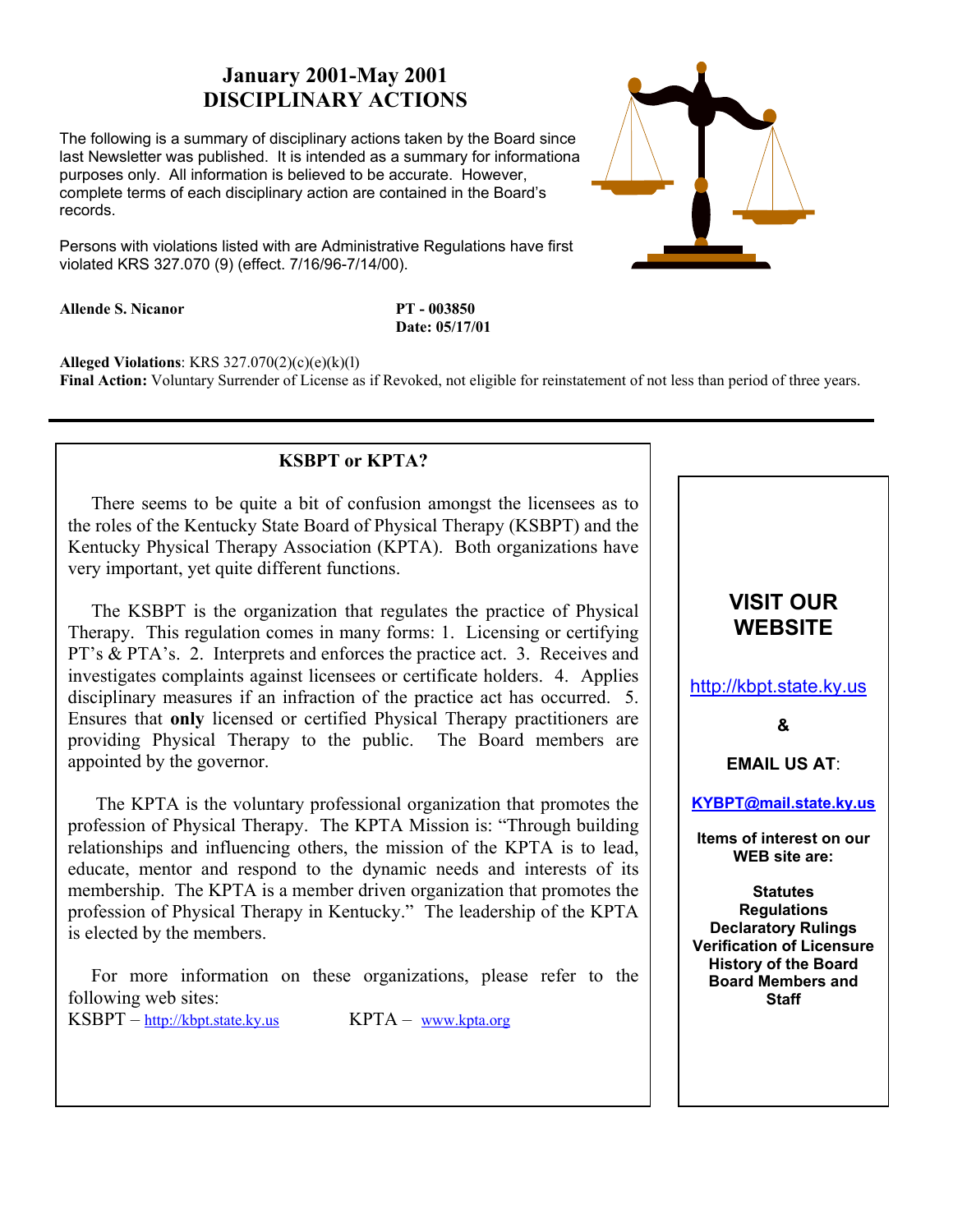# **January 2001-May 2001 DISCIPLINARY ACTIONS**

The following is a summary of disciplinary actions taken by the Board since the last Newsletter was published. It is intended as a summary for informational purposes only. All information is believed to be accurate. However, complete terms of each disciplinary action are contained in the Board's records.

Persons with violations listed with are Administrative Regulations have first violated KRS 327.070 (9) (effect. 7/16/96-7/14/00).

**Allende S. Nicanor PT - 003850** 

 **Date: 05/17/01** 

**Alleged Violations**: KRS 327.070(2)(c)(e)(k)(l)

**Final Action:** Voluntary Surrender of License as if Revoked, not eligible for reinstatement of not less than period of three years.

## **KSBPT or KPTA?**

 There seems to be quite a bit of confusion amongst the licensees as to the roles of the Kentucky State Board of Physical Therapy (KSBPT) and the Kentucky Physical Therapy Association (KPTA). Both organizations have very important, yet quite different functions.

 The KSBPT is the organization that regulates the practice of Physical Therapy. This regulation comes in many forms: 1. Licensing or certifying PT's & PTA's. 2. Interprets and enforces the practice act. 3. Receives and investigates complaints against licensees or certificate holders. 4. Applies disciplinary measures if an infraction of the practice act has occurred. 5. Ensures that **only** licensed or certified Physical Therapy practitioners are providing Physical Therapy to the public. The Board members are appointed by the governor.

 The KPTA is the voluntary professional organization that promotes the profession of Physical Therapy. The KPTA Mission is: "Through building relationships and influencing others, the mission of the KPTA is to lead, educate, mentor and respond to the dynamic needs and interests of its membership. The KPTA is a member driven organization that promotes the profession of Physical Therapy in Kentucky." The leadership of the KPTA is elected by the members.

 For more information on these organizations, please refer to the following web sites:

 $KSBPT - \frac{http://kbt.state.ky.us}{http://kbt.state.ky.us}$  KPTA – www.kpta.org



| <b>VISIT OUR</b><br><b>WEBSITE</b>                                                                                                                                                 |
|------------------------------------------------------------------------------------------------------------------------------------------------------------------------------------|
| http://kbpt.state.ky.us                                                                                                                                                            |
| &                                                                                                                                                                                  |
| <b>EMAIL US AT:</b>                                                                                                                                                                |
| KYBPT@mail.state.ky.us                                                                                                                                                             |
| Items of interest on our<br><b>WEB</b> site are:                                                                                                                                   |
| <b>Statutes</b><br><b>Regulations</b><br><b>Declaratory Rulings</b><br><b>Verification of Licensure</b><br><b>History of the Board</b><br><b>Board Members and</b><br><b>Staff</b> |
|                                                                                                                                                                                    |